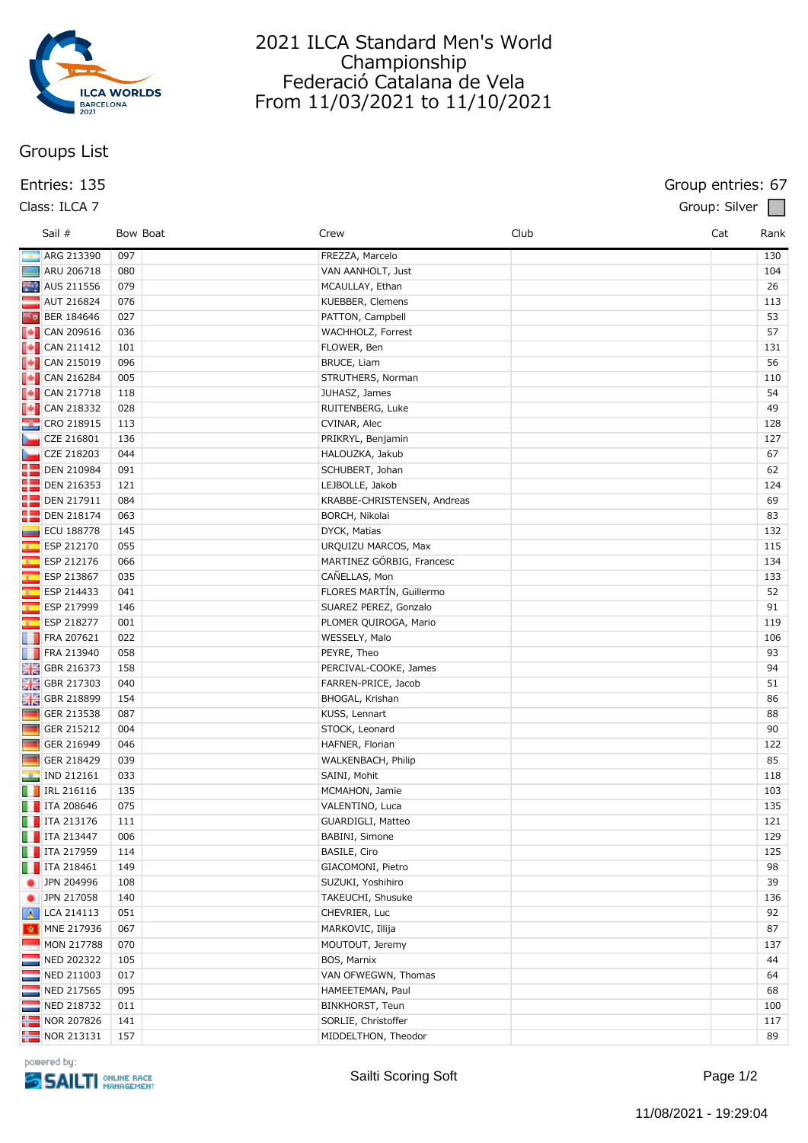

# 2021 ILCA Standard Men's World Championship Federació Catalana de Vela From 11/03/2021 to 11/10/2021

# **Groups List**

### **Entries: 135 Group entries: 67**

|                         | Sail #                                                                            | Bow Boat | Crew                        | Club | Cat<br>Rank |
|-------------------------|-----------------------------------------------------------------------------------|----------|-----------------------------|------|-------------|
|                         | ARG 213390                                                                        | 097      | FREZZA, Marcelo             |      | 130         |
|                         | ARU 206718                                                                        | 080      | VAN AANHOLT, Just           |      | 104         |
|                         | AUS 211556                                                                        | 079      | MCAULLAY, Ethan             |      | 26          |
|                         | <b>AUT 216824</b>                                                                 | 076      | KUEBBER, Clemens            |      | 113         |
|                         | $\blacksquare$ BER 184646                                                         | 027      | PATTON, Campbell            |      | 53          |
|                         | $\begin{array}{ c c c }\n\hline \text{•} & \text{CAN 209616}\n\hline \end{array}$ | 036      | WACHHOLZ, Forrest           |      | 57          |
|                         | $\begin{array}{ c c c }\n\hline \text{•} & \text{CAN 211412}\n\hline \end{array}$ | 101      | FLOWER, Ben                 |      | 131         |
|                         | $\begin{bmatrix} \bullet \\ \bullet \end{bmatrix}$ CAN 215019                     | 096      | <b>BRUCE, Liam</b>          |      | 56          |
|                         | $\begin{array}{ c c c }\n\hline\n\hline\n\end{array}$ CAN 216284                  | 005      | STRUTHERS, Norman           |      | 110         |
|                         | $\begin{bmatrix} \bullet \\ \bullet \end{bmatrix}$ CAN 217718                     | 118      | JUHASZ, James               |      | 54          |
|                         | $\begin{array}{ c c }\n\hline\n\hline\n\hline\n\hline\n\end{array}$ CAN 218332    | 028      | RUITENBERG, Luke            |      | 49          |
|                         | <b>&amp;</b> CRO 218915                                                           | 113      | CVINAR, Alec                |      | 128         |
|                         | CZE 216801                                                                        | 136      | PRIKRYL, Benjamin           |      | 127         |
| ►                       | CZE 218203                                                                        | 044      | HALOUZKA, Jakub             |      | 67          |
|                         | <b>DEN 210984</b>                                                                 | 091      | SCHUBERT, Johan             |      | 62          |
|                         | <b>DEN 216353</b>                                                                 | 121      | LEJBOLLE, Jakob             |      | 124         |
|                         | <b>DEN 217911</b>                                                                 | 084      | KRABBE-CHRISTENSEN, Andreas |      | 69          |
| 92                      | DEN 218174                                                                        | 063      | BORCH, Nikolai              |      | 83          |
| ▄                       | <b>ECU 188778</b>                                                                 | 145      | DYCK, Matias                |      | 132         |
| B.                      | ESP 212170                                                                        | 055      | URQUIZU MARCOS, Max         |      | 115         |
| $\overline{\mathbf{g}}$ | ESP 212176                                                                        | 066      | MARTINEZ GÖRBIG, Francesc   |      | 134         |
| $\overline{\mathbf{z}}$ | ESP 213867                                                                        | 035      | CAÑELLAS, Mon               |      | 133         |
| $\overline{\mathbf{z}}$ | ESP 214433                                                                        | 041      | FLORES MARTÍN, Guillermo    |      | 52          |
| ß,                      | ESP 217999                                                                        | 146      | SUAREZ PEREZ, Gonzalo       |      | 91          |
| $\overline{\mathbf{z}}$ | ESP 218277                                                                        | 001      | PLOMER QUIROGA, Mario       |      | 119         |
| w                       | FRA 207621                                                                        | 022      | WESSELY, Malo               |      | 106         |
|                         | <b>FRA 213940</b>                                                                 | 058      | PEYRE, Theo                 |      | 93          |
|                         | <b>CBR</b> 216373                                                                 | 158      | PERCIVAL-COOKE, James       |      | 94          |
|                         | <b>HE</b> GBR 217303                                                              | 040      | FARREN-PRICE, Jacob         |      | 51          |
|                         | <b>HE</b> GBR 218899                                                              | 154      | BHOGAL, Krishan             |      | 86          |
| <b>The Second</b>       | GER 213538                                                                        | 087      | KUSS, Lennart               |      | 88          |
| <b>Fig.</b>             | GER 215212                                                                        | 004      | STOCK, Leonard              |      | 90          |
| <b>COL</b>              | GER 216949                                                                        | 046      | HAFNER, Florian             |      | 122         |
| <b>Co</b>               | GER 218429                                                                        | 039      | WALKENBACH, Philip          |      | 85          |
| $\mathbf{r}$            | IND 212161                                                                        | 033      | SAINI, Mohit                |      | 118         |
|                         | $\Box$ IRL 216116                                                                 | 135      | MCMAHON, Jamie              |      | 103         |
|                         | $\blacksquare$ ITA 208646                                                         | 075      | VALENTINO, Luca             |      | 135         |
|                         | $\Box$ ITA 213176                                                                 | 111      | GUARDIGLI, Matteo           |      | 121         |
|                         | $\Box$ ITA 213447                                                                 | 006      | BABINI, Simone              |      | 129         |
|                         | $\blacksquare$ ITA 217959                                                         | 114      | BASILE, Ciro                |      | 125         |
|                         | $\blacksquare$ ITA 218461                                                         | 149      | GIACOMONI, Pietro           |      | 98          |
|                         | JPN 204996                                                                        | 108      | SUZUKI, Yoshihiro           |      | 39          |
|                         | JPN 217058                                                                        | 140      | TAKEUCHI, Shusuke           |      | 136         |
|                         | A LCA 214113                                                                      | 051      | CHEVRIER, Luc               |      | 92          |
|                         | MNE 217936                                                                        | 067      | MARKOVIC, Illija            |      | 87          |
|                         | MON 217788                                                                        | 070      | MOUTOUT, Jeremy             |      | 137         |
| Ī.                      | NED 202322                                                                        | 105      | BOS, Marnix                 |      | 44          |
| E                       | NED 211003                                                                        | 017      | VAN OFWEGWN, Thomas         |      | 64          |
|                         | NED 217565                                                                        | 095      | HAMEETEMAN, Paul            |      | 68          |
|                         | NED 218732                                                                        | 011      | BINKHORST, Teun             |      | 100         |
| ╬═                      | NOR 207826                                                                        | 141      | SORLIE, Christoffer         |      | 117         |
|                         | $\frac{1}{2}$ NOR 213131                                                          | 157      | MIDDELTHON, Theodor         |      | 89          |